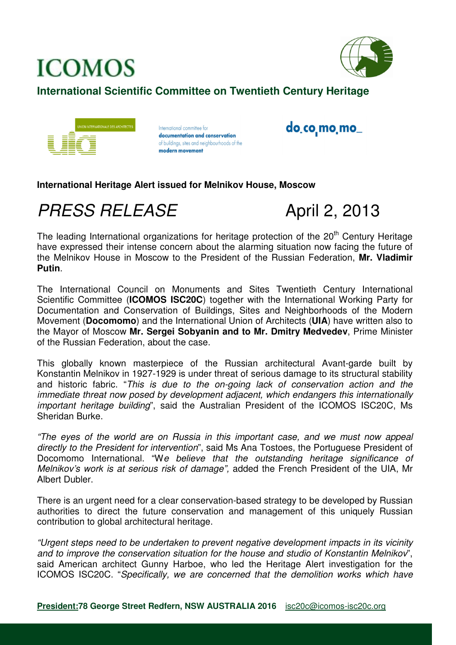# **ICOMOS**



### **International Scientific Committee on Twentieth Century Heritage**



International committee for documentation and conservation of buildings, sites and neighbourhoods of the modern movement

## do co mo mo

#### **International Heritage Alert issued for Melnikov House, Moscow**

# PRESS RELEASE April 2, 2013

The leading International organizations for heritage protection of the 20<sup>th</sup> Century Heritage have expressed their intense concern about the alarming situation now facing the future of the Melnikov House in Moscow to the President of the Russian Federation, **Mr. Vladimir Putin**.

The International Council on Monuments and Sites Twentieth Century International Scientific Committee (**ICOMOS ISC20C**) together with the International Working Party for Documentation and Conservation of Buildings, Sites and Neighborhoods of the Modern Movement (**Docomomo**) and the International Union of Architects (**UIA**) have written also to the Mayor of Moscow **Mr. Sergei Sobyanin and to Mr. Dmitry Medvedev**, Prime Minister of the Russian Federation, about the case.

This globally known masterpiece of the Russian architectural Avant-garde built by Konstantin Melnikov in 1927-1929 is under threat of serious damage to its structural stability and historic fabric. "This is due to the on-going lack of conservation action and the immediate threat now posed by development adjacent, which endangers this internationally important heritage building", said the Australian President of the ICOMOS ISC20C, Ms Sheridan Burke.

"The eyes of the world are on Russia in this important case, and we must now appeal directly to the President for intervention", said Ms Ana Tostoes, the Portuguese President of Docomomo International. "We believe that the outstanding heritage significance of Melnikov's work is at serious risk of damage", added the French President of the UIA, Mr Albert Dubler.

There is an urgent need for a clear conservation-based strategy to be developed by Russian authorities to direct the future conservation and management of this uniquely Russian contribution to global architectural heritage.

"Urgent steps need to be undertaken to prevent negative development impacts in its vicinity and to improve the conservation situation for the house and studio of Konstantin Melnikov", said American architect Gunny Harboe, who led the Heritage Alert investigation for the ICOMOS ISC20C. "Specifically, we are concerned that the demolition works which have